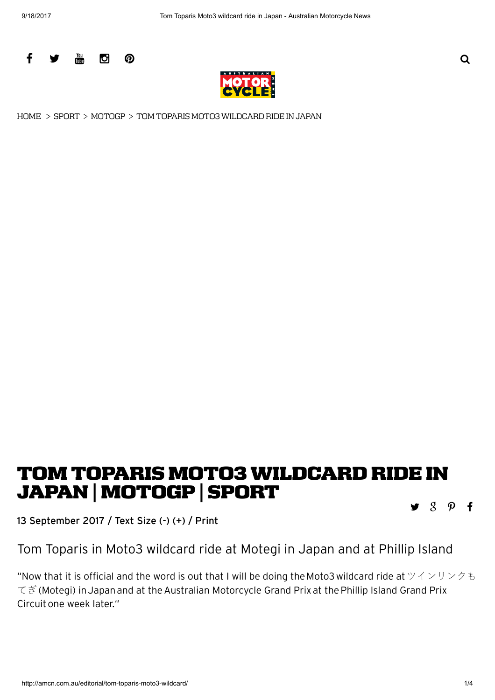





[HOME](http://amcn.com.au/) > [SPORT](http://amcn.com.au/categories/sport/) > [MOTOGP](http://amcn.com.au/categories/motogp/) > TOM TOPARIS MOTO3 WILDCARD RIDE IN JAPAN

## TOM TOPARIS MOTO3 WILDCARD RIDE IN JAPAN | [MOTOGP](http://amcn.com.au/categories/motogp) | [SPORT](http://amcn.com.au/categories/sport)  $\beta$   $\Omega$  f

13 September 2017 / Text Size (-) (+) / Print

## Tom Toparis in Moto3 wildcard ride at Motegi in Japan and at Phillip Island

"Now that it is official and the word is out that I will be doing the Moto3 wildcard ride at ツインリンクも てぎ(Motegi) inJapanand at theAustralian Motorcycle Grand Prixat thePhillip Island Grand Prix Circuitone week later."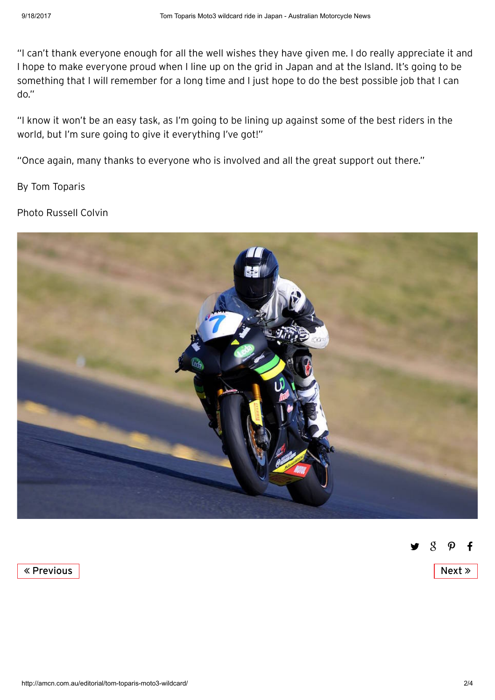"I can't thank everyone enough for all the well wishes they have given me. I do really appreciate it and I hope to make everyone proud when I line up on the grid in Japan and at the Island. It's going to be something that I will remember for a long time and I just hope to do the best possible job that I can do."

"I know it won't be an easy task, as I'm going to be lining up against some of the best riders in the world, but I'm sure going to give it everything I've got!"

"Once again, many thanks to everyone who is involved and all the great support out there."

By Tom Toparis

Photo Russell Colvin



## y ያ ዖ f

« [Previous](http://amcn.com.au/editorial/josh-waters-championship-contention-double-smsp-victory/) <mark>[Next](http://amcn.com.au/editorial/rea-fastest-day-one/) » in the set of the set of the set of the set of the set of the set of the set of the set of the set of the set of the set of the set of the set of the set of the set of the set of the set of the set of t</mark>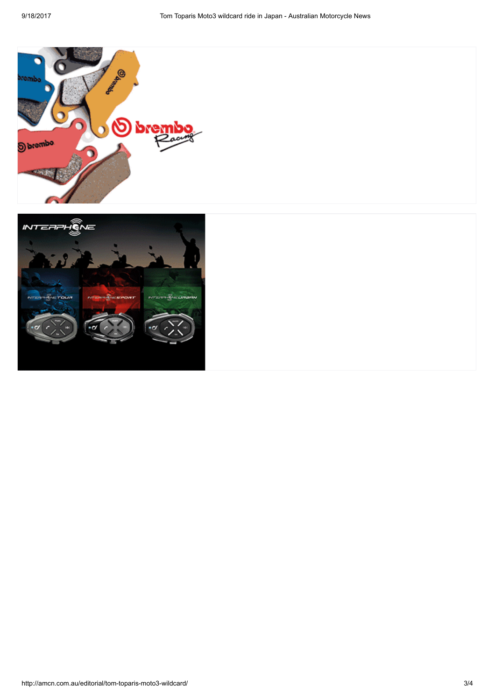